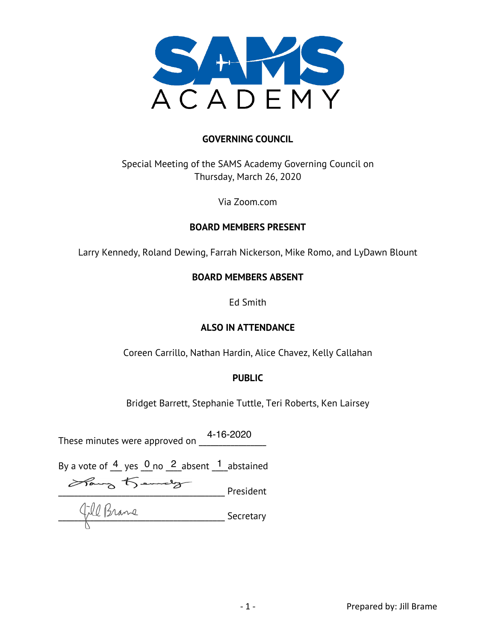

#### **GOVERNING COUNCIL**

## Special Meeting of the SAMS Academy Governing Council on Thursday, March 26, 2020

Via Zoom.com

#### **BOARD MEMBERS PRESENT**

Larry Kennedy, Roland Dewing, Farrah Nickerson, Mike Romo, and LyDawn Blount

### **BOARD MEMBERS ABSENT**

Ed Smith

#### **ALSO IN ATTENDANCE**

Coreen Carrillo, Nathan Hardin, Alice Chavez, Kelly Callahan

### **PUBLIC**

Bridget Barrett, Stephanie Tuttle, Teri Roberts, Ken Lairsey

These minutes were approved on  $\frac{1}{2}$ 4-16-2020

By a vote of  $\frac{4}{5}$  yes  $\frac{0}{5}$  no  $\frac{2}{5}$  absent  $\frac{1}{5}$  abstained

\_\_\_\_\_\_\_\_\_\_\_\_\_\_\_\_\_\_\_\_\_\_\_\_\_\_\_\_\_\_\_\_\_\_\_\_\_\_\_\_\_\_ President

\_\_\_\_\_\_\_\_\_\_\_\_\_\_\_\_\_\_\_\_\_\_\_\_\_\_\_\_\_\_\_\_\_\_\_\_\_\_\_\_\_\_ Secretary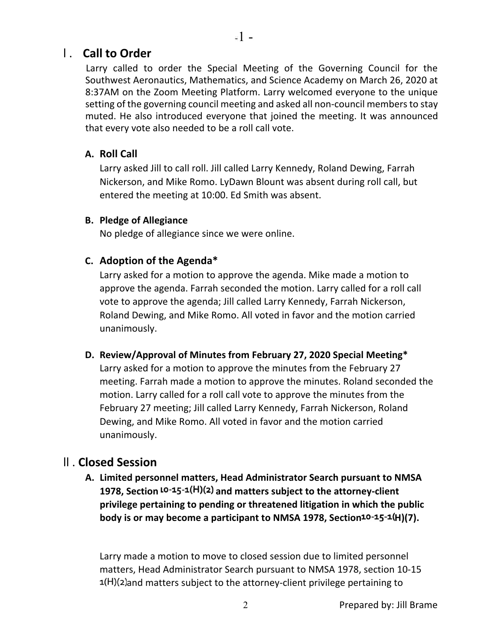## l . **Call to Order**

Larry called to order the Special Meeting of the Governing Council for the Southwest Aeronautics, Mathematics, and Science Academy on March 26, 2020 at 8:37AM on the Zoom Meeting Platform. Larry welcomed everyone to the unique setting of the governing council meeting and asked all non-council members to stay muted. He also introduced everyone that joined the meeting. It was announced that every vote also needed to be a roll call vote.

## **A. Roll Call**

Larry asked Jill to call roll. Jill called Larry Kennedy, Roland Dewing, Farrah Nickerson, and Mike Romo. LyDawn Blount was absent during roll call, but entered the meeting at 10:00. Ed Smith was absent.

### **B. Pledge of Allegiance**

No pledge of allegiance since we were online.

## **C. Adoption of the Agenda\***

Larry asked for a motion to approve the agenda. Mike made a motion to approve the agenda. Farrah seconded the motion. Larry called for a roll call vote to approve the agenda; Jill called Larry Kennedy, Farrah Nickerson, Roland Dewing, and Mike Romo. All voted in favor and the motion carried unanimously.

## **D. Review/Approval of Minutes from February 27, 2020 Special Meeting\***  Larry asked for a motion to approve the minutes from the February 27 meeting. Farrah made a motion to approve the minutes. Roland seconded the motion. Larry called for a roll call vote to approve the minutes from the February 27 meeting; Jill called Larry Kennedy, Farrah Nickerson, Roland Dewing, and Mike Romo. All voted in favor and the motion carried unanimously.

# ll . **Closed Session**

**A. Limited personnel matters, Head Administrator Search pursuant to NMSA** 1978, Section <sup>LO-15-1</sup>(H)<sup>(2)</sup> and matters subject to the attorney-client **privilege pertaining to pending or threatened litigation in which the public body is or may become a participant to NMSA 1978, Section<sup>10-15-1</sup><sup>(H</sup>)(7).** 

Larry made a motion to move to closed session due to limited personnel matters, Head Administrator Search pursuant to NMSA 1978, section 10-15  $1(H)(2)$  and matters subject to the attorney-client privilege pertaining to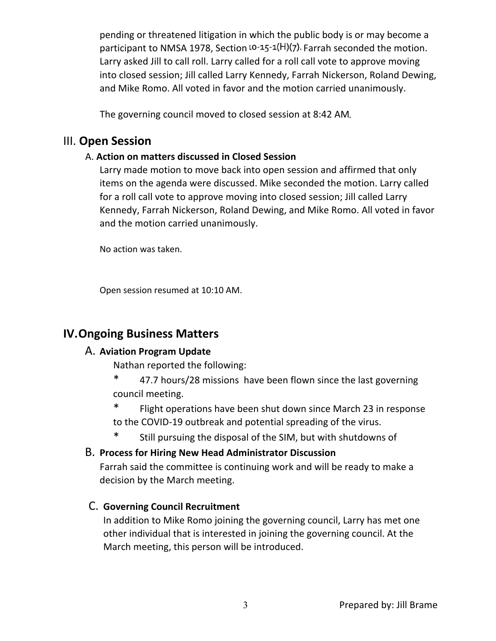pending or threatened litigation in which the public body is or may become a participant to NMSA 1978, Section  $10-15-1(H)(7)$ . Farrah seconded the motion. Larry asked Jill to call roll. Larry called for a roll call vote to approve moving into closed session; Jill called Larry Kennedy, Farrah Nickerson, Roland Dewing, and Mike Romo. All voted in favor and the motion carried unanimously.

The governing council moved to closed session at 8:42 AM

## III. **Open Session**

### A. **Action on matters discussed in Closed Session**

Larry made motion to move back into open session and affirmed that only items on the agenda were discussed. Mike seconded the motion. Larry called for a roll call vote to approve moving into closed session; Jill called Larry Kennedy, Farrah Nickerson, Roland Dewing, and Mike Romo. All voted in favor and the motion carried unanimously.

No action was taken.

Open session resumed at 10:10 AM.

## **IV.Ongoing Business Matters**

### A. **Aviation Program Update**

Nathan reported the following:

\* 47.7 hours/28 missions have been flown since the last governing council meeting.

\* Flight operations have been shut down since March 23 in response to the COVID-19 outbreak and potential spreading of the virus.

\* Still pursuing the disposal of the SIM, but with shutdowns of

#### B. **Process for Hiring New Head Administrator Discussion**

Farrah said the committee is continuing work and will be ready to make a decision by the March meeting.

### C. **Governing Council Recruitment**

In addition to Mike Romo joining the governing council, Larry has met one other individual that is interested in joining the governing council. At the March meeting, this person will be introduced.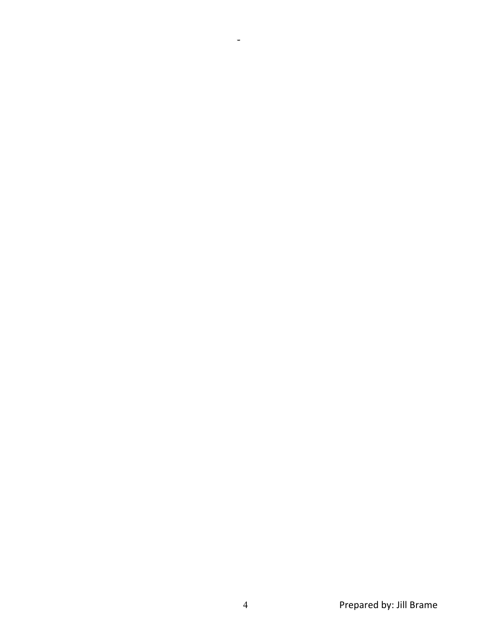×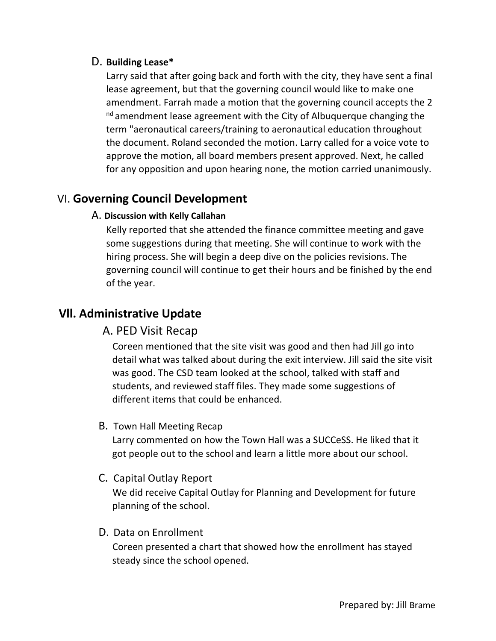#### D. **Building Lease\***

Larry said that after going back and forth with the city, they have sent a final lease agreement, but that the governing council would like to make one amendment. Farrah made a motion that the governing council accepts the 2 nd amendment lease agreement with the City of Albuquerque changing the term "aeronautical careers/training to aeronautical education throughout the document. Roland seconded the motion. Larry called for a voice vote to approve the motion, all board members present approved. Next, he called for any opposition and upon hearing none, the motion carried unanimously.

## VI. **Governing Council Development**

#### A. **Discussion with Kelly Callahan**

Kelly reported that she attended the finance committee meeting and gave some suggestions during that meeting. She will continue to work with the hiring process. She will begin a deep dive on the policies revisions. The governing council will continue to get their hours and be finished by the end of the year.

## **Vll. Administrative Update**

#### A. PED Visit Recap

Coreen mentioned that the site visit was good and then had Jill go into detail what was talked about during the exit interview. Jill said the site visit was good. The CSD team looked at the school, talked with staff and students, and reviewed staff files. They made some suggestions of different items that could be enhanced.

#### B. Town Hall Meeting Recap

Larry commented on how the Town Hall was a SUCCeSS. He liked that it got people out to the school and learn a little more about our school.

#### C. Capital Outlay Report

We did receive Capital Outlay for Planning and Development for future planning of the school.

#### D. Data on Enrollment

Coreen presented a chart that showed how the enrollment has stayed steady since the school opened.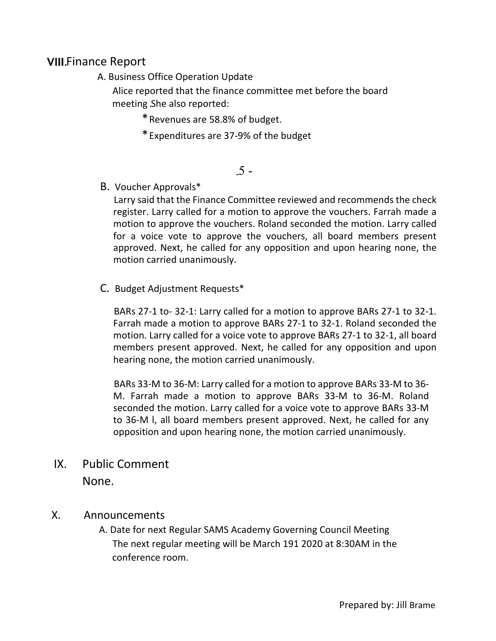## **VIII.Finance Report**

A. Business Office Operation Update

Alice reported that the finance committee met before the board meeting She also reported:

\*Revenues are 58.8% of budget.

\*Expenditures are 37-9% of the budget

### $-5 -$

B. Voucher Approvals\*

Larry said that the Finance Committee reviewed and recommends the check register. Larry called for a motion to approve the vouchers. Farrah made a motion to approve the vouchers. Roland seconded the motion. Larry called for a voice vote to approve the vouchers, all board members present approved. Next, he called for any opposition and upon hearing none, the motion carried unanimously.

C. Budget Adjustment Requests\*

BARs 27-1 to- 32-1: Larry called for a motion to approve BARs 27-1 to 32-1. Farrah made a motion to approve BARs 27-1 to 32-1. Roland seconded the motion. Larry called for a voice vote to approve BARs 27-1 to 32-1, all board members present approved. Next, he called for any opposition and upon hearing none, the motion carried unanimously.

BARs 33-M to 36-M: Larry called for a motion to approve BARs 33-M to 36- M. Farrah made a motion to approve BARs 33-M to 36-M. Roland seconded the motion. Larry called for a voice vote to approve BARs 33-M to 36-M l, all board members present approved. Next, he called for any opposition and upon hearing none, the motion carried unanimously.

IX. Public Comment

None.

### X. Announcements

A. Date for next Regular SAMS Academy Governing Council Meeting The next regular meeting will be March 191 2020 at 8:30AM in the conference room.